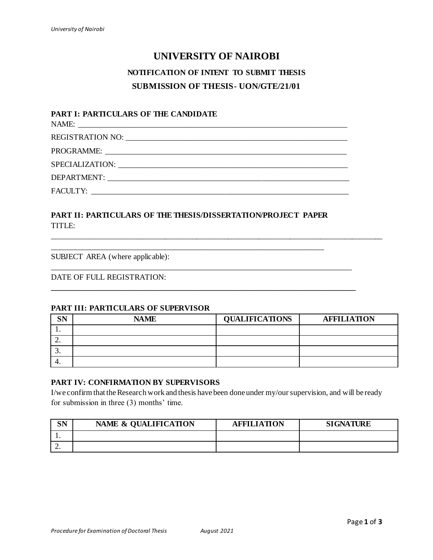# **UNIVERSITY OF NAIROBI**

# **NOTIFICATION OF INTENT TO SUBMIT THESIS SUBMISSION OF THESIS- UON/GTE/21/01**

### **PART I: PARTICULARS OF THE CANDIDATE**

NAME: \_\_\_\_\_\_\_\_\_\_\_\_\_\_\_\_\_\_\_\_\_\_\_\_\_\_\_\_\_\_\_\_\_\_\_\_\_\_\_\_\_\_\_\_\_\_\_\_\_\_\_\_\_\_\_\_\_\_\_\_\_\_\_\_\_\_\_\_

REGISTRATION NO: \_\_\_\_\_\_\_\_\_\_\_\_\_\_\_\_\_\_\_\_\_\_\_\_\_\_\_\_\_\_\_\_\_\_\_\_\_\_\_\_\_\_\_\_\_\_\_\_\_\_\_\_\_\_\_\_

PROGRAMME: SPECIALIZATION: \_\_\_\_\_\_\_\_\_\_\_\_\_\_\_\_\_\_\_\_\_\_\_\_\_\_\_\_\_\_\_\_\_\_\_\_\_\_\_\_\_\_\_\_\_\_\_\_\_\_\_\_\_\_\_\_\_\_

DEPARTMENT: \_\_\_\_\_\_\_\_\_\_\_\_\_\_\_\_\_\_\_\_\_\_\_\_\_\_\_\_\_\_\_\_\_\_\_\_\_\_\_\_\_\_\_\_\_\_\_\_\_\_\_\_\_\_\_\_\_\_\_\_\_

FACULTY:

### **PART II: PARTICULARS OF THE THESIS/DISSERTATION/PROJECT PAPER** TITLE:

\_\_\_\_\_\_\_\_\_\_\_\_\_\_\_\_\_\_\_\_\_\_\_\_\_\_\_\_\_\_\_\_\_\_\_\_\_\_\_\_\_\_\_\_\_\_\_\_\_\_\_\_\_\_\_\_\_\_\_\_\_\_\_\_\_\_\_\_\_

\_\_\_\_\_\_\_\_\_\_\_\_\_\_\_\_\_\_\_\_\_\_\_\_\_\_\_\_\_\_\_\_\_\_\_\_\_\_\_\_\_\_\_\_\_\_\_\_\_\_\_\_\_\_\_\_\_\_\_\_\_\_\_\_\_\_\_\_\_\_\_\_\_\_\_\_

**\_\_\_\_\_\_\_\_\_\_\_\_\_\_\_\_\_\_\_\_\_\_\_\_\_\_\_\_\_\_\_\_\_\_\_\_\_\_\_\_\_\_\_\_\_\_\_\_\_\_\_\_\_\_\_\_\_\_\_\_\_\_\_\_\_\_\_\_\_\_\_\_\_\_\_\_\_**

SUBJECT AREA (where applicable):

### DATE OF FULL REGISTRATION:

#### **PART III: PARTICULARS OF SUPERVISOR**

| SN       | <b>NAME</b> | <b>QUALIFICATIONS</b> | <b>AFFILIATION</b> |
|----------|-------------|-----------------------|--------------------|
| . .      |             |                       |                    |
| <u>.</u> |             |                       |                    |
| J.       |             |                       |                    |
| 4.       |             |                       |                    |

\_\_\_\_\_\_\_\_\_\_\_\_\_\_\_\_\_\_\_\_\_\_\_\_\_\_\_\_\_\_\_\_\_\_\_\_\_\_\_\_\_\_\_\_\_\_\_\_\_\_\_\_\_\_\_\_\_\_\_\_\_\_\_\_\_\_\_\_\_\_\_\_\_\_\_\_\_\_\_\_\_\_\_\_\_

### **PART IV: CONFIRMATION BY SUPERVISORS**

I/we confirm that the Research work and thesis have been done under my/oursupervision, and will be ready for submission in three (3) months' time.

| CN<br>יוס | NAME & QUALIFICATION | <b>AFFILIATION</b> | <b>SIGNATURE</b> |
|-----------|----------------------|--------------------|------------------|
|           |                      |                    |                  |
| ٠.        |                      |                    |                  |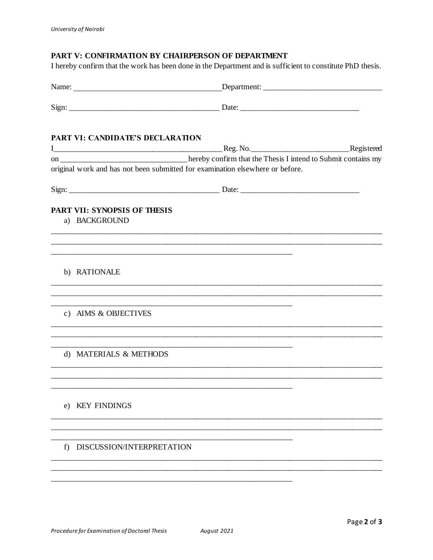### PART V: CONFIRMATION BY CHAIRPERSON OF DEPARTMENT

I hereby confirm that the work has been done in the Department and is sufficient to constitute PhD thesis.

| PART VI: CANDIDATE'S DECLARATION                     |                                                                                                                                                                                    |  |
|------------------------------------------------------|------------------------------------------------------------------------------------------------------------------------------------------------------------------------------------|--|
|                                                      |                                                                                                                                                                                    |  |
|                                                      | on _________________________________hereby confirm that the Thesis I intend to Submit contains my<br>original work and has not been submitted for examination elsewhere or before. |  |
|                                                      |                                                                                                                                                                                    |  |
| <b>PART VII: SYNOPSIS OF THESIS</b><br>a) BACKGROUND |                                                                                                                                                                                    |  |
|                                                      | <u> 1989 - Johann John Stoff, deutscher Stoff und der Stoff und der Stoff und der Stoff und der Stoff und der Sto</u>                                                              |  |
| b) RATIONALE                                         |                                                                                                                                                                                    |  |
| c) AIMS & OBJECTIVES                                 |                                                                                                                                                                                    |  |
| d) MATERIALS & METHODS                               |                                                                                                                                                                                    |  |
| e) KEY FINDINGS                                      |                                                                                                                                                                                    |  |
| f) DISCUSSION/INTERPRETATION                         |                                                                                                                                                                                    |  |
|                                                      |                                                                                                                                                                                    |  |
|                                                      |                                                                                                                                                                                    |  |